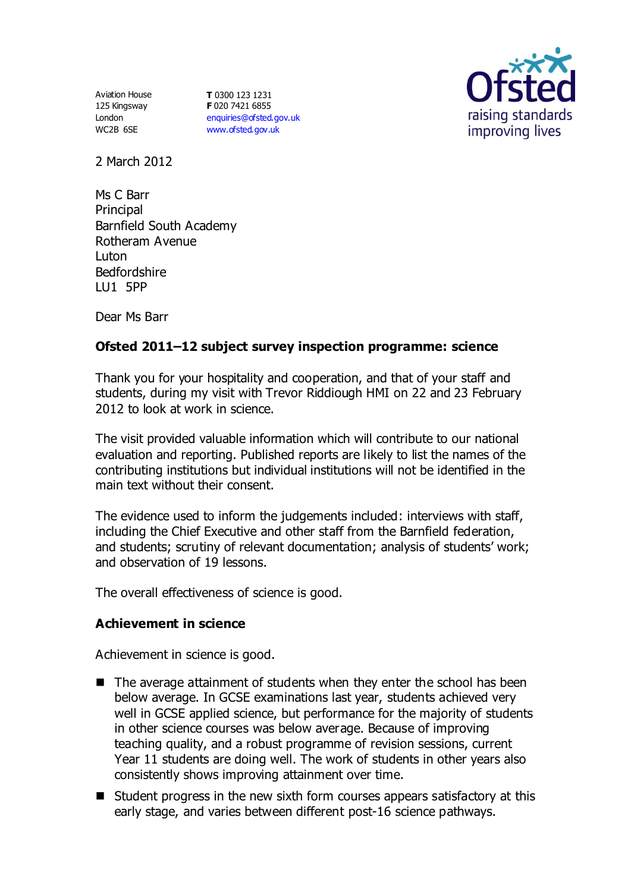Aviation House 125 Kingsway London WC2B 6SE

**T** 0300 123 1231 **F** 020 7421 6855 [enquiries@ofsted.gov.uk](mailto:enquiries@ofsted.gov.uk) [www.ofsted.gov.uk](http://www.ofsted.gov.uk/)



2 March 2012

Ms C Barr **Principal** Barnfield South Academy Rotheram Avenue Luton Bedfordshire LU1 5PP

Dear Ms Barr

# **Ofsted 2011–12 subject survey inspection programme: science**

Thank you for your hospitality and cooperation, and that of your staff and students, during my visit with Trevor Riddiough HMI on 22 and 23 February 2012 to look at work in science.

The visit provided valuable information which will contribute to our national evaluation and reporting. Published reports are likely to list the names of the contributing institutions but individual institutions will not be identified in the main text without their consent.

The evidence used to inform the judgements included: interviews with staff, including the Chief Executive and other staff from the Barnfield federation, and students; scrutiny of relevant documentation; analysis of students' work; and observation of 19 lessons.

The overall effectiveness of science is good.

## **Achievement in science**

Achievement in science is good.

- $\blacksquare$  The average attainment of students when they enter the school has been below average. In GCSE examinations last year, students achieved very well in GCSE applied science, but performance for the majority of students in other science courses was below average. Because of improving teaching quality, and a robust programme of revision sessions, current Year 11 students are doing well. The work of students in other years also consistently shows improving attainment over time.
- Student progress in the new sixth form courses appears satisfactory at this early stage, and varies between different post-16 science pathways.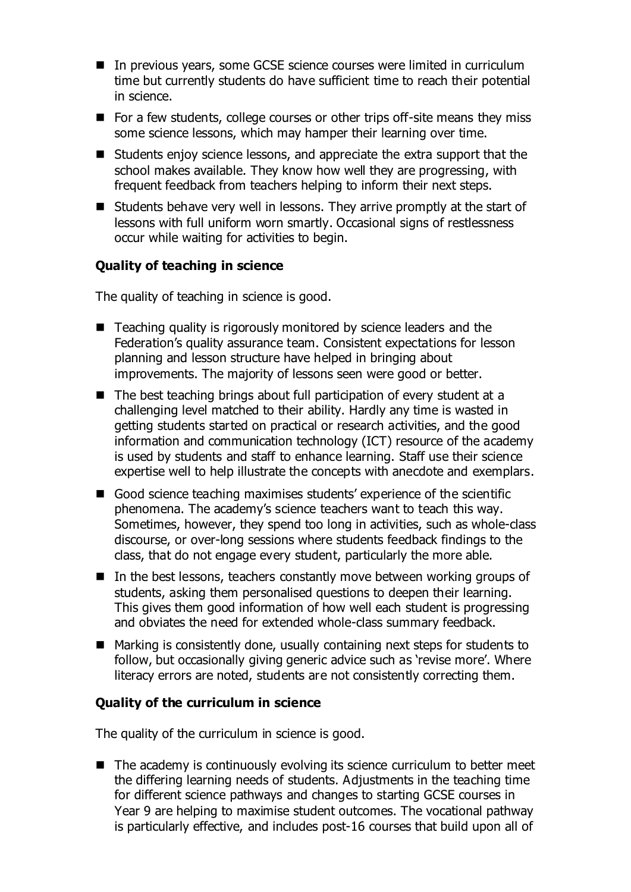- In previous years, some GCSE science courses were limited in curriculum time but currently students do have sufficient time to reach their potential in science.
- For a few students, college courses or other trips off-site means they miss some science lessons, which may hamper their learning over time.
- Students enjoy science lessons, and appreciate the extra support that the school makes available. They know how well they are progressing, with frequent feedback from teachers helping to inform their next steps.
- Students behave very well in lessons. They arrive promptly at the start of lessons with full uniform worn smartly. Occasional signs of restlessness occur while waiting for activities to begin.

## **Quality of teaching in science**

The quality of teaching in science is good.

- Teaching quality is rigorously monitored by science leaders and the Federation's quality assurance team. Consistent expectations for lesson planning and lesson structure have helped in bringing about improvements. The majority of lessons seen were good or better.
- The best teaching brings about full participation of every student at a challenging level matched to their ability. Hardly any time is wasted in getting students started on practical or research activities, and the good information and communication technology (ICT) resource of the academy is used by students and staff to enhance learning. Staff use their science expertise well to help illustrate the concepts with anecdote and exemplars.
- Good science teaching maximises students' experience of the scientific phenomena. The academy's science teachers want to teach this way. Sometimes, however, they spend too long in activities, such as whole-class discourse, or over-long sessions where students feedback findings to the class, that do not engage every student, particularly the more able.
- $\blacksquare$  In the best lessons, teachers constantly move between working groups of students, asking them personalised questions to deepen their learning. This gives them good information of how well each student is progressing and obviates the need for extended whole-class summary feedback.
- Marking is consistently done, usually containing next steps for students to follow, but occasionally giving generic advice such as 'revise more'. Where literacy errors are noted, students are not consistently correcting them.

## **Quality of the curriculum in science**

The quality of the curriculum in science is good.

■ The academy is continuously evolving its science curriculum to better meet the differing learning needs of students. Adjustments in the teaching time for different science pathways and changes to starting GCSE courses in Year 9 are helping to maximise student outcomes. The vocational pathway is particularly effective, and includes post-16 courses that build upon all of